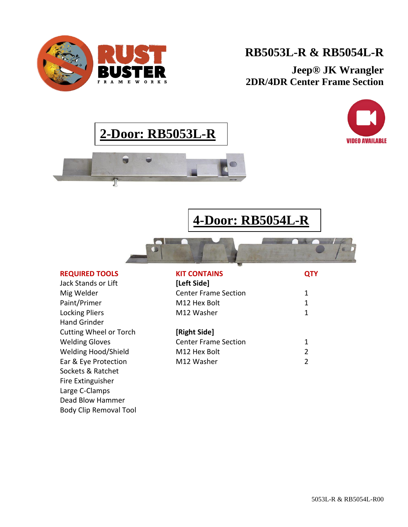

# **RB5053L-R & RB5054L-R**

**Jeep® JK Wrangler 2DR/4DR Center Frame Section**

**QTY**

1







**4-Door: RB5054L-R**

### **REQUIRED TOOLS**

Jack Stands or Lift Mig Welder Paint/Primer Locking Pliers Hand Grinder Cutting Wheel or Torch Welding Gloves Welding Hood/Shield Ear & Eye Protection Sockets & Ratchet Fire Extinguisher Large C-Clamps Dead Blow Hammer Body Clip Removal Tool

### **KIT CONTAINS [Left Side]** Center Frame Section M12 Hex Bolt

| M12 Hex Bolt         |  |
|----------------------|--|
| M12 Washer           |  |
| [Right Side]         |  |
| Center Frame Section |  |

| M12 Hex Bolt |  |
|--------------|--|
| M12 Washer   |  |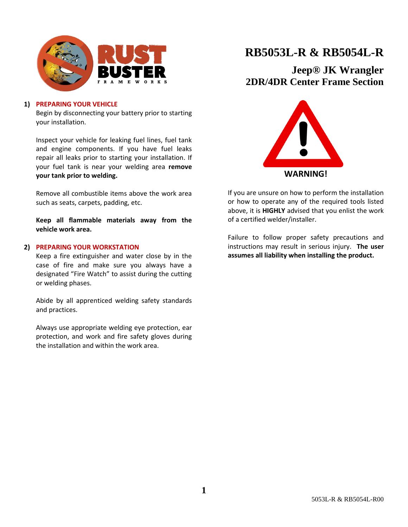

### **1) PREPARING YOUR VEHICLE**

Begin by disconnecting your battery prior to starting your installation.

Inspect your vehicle for leaking fuel lines, fuel tank and engine components. If you have fuel leaks repair all leaks prior to starting your installation. If your fuel tank is near your welding area **remove your tank prior to welding.**

Remove all combustible items above the work area such as seats, carpets, padding, etc.

**Keep all flammable materials away from the vehicle work area.**

### **2) PREPARING YOUR WORKSTATION**

Keep a fire extinguisher and water close by in the case of fire and make sure you always have a designated "Fire Watch" to assist during the cutting or welding phases.

Abide by all apprenticed welding safety standards and practices.

Always use appropriate welding eye protection, ear protection, and work and fire safety gloves during the installation and within the work area.

## **RB5053L-R & RB5054L-R**

**Jeep® JK Wrangler 2DR/4DR Center Frame Section**



If you are unsure on how to perform the installation or how to operate any of the required tools listed above, it is **HIGHLY** advised that you enlist the work of a certified welder/installer.

Failure to follow proper safety precautions and instructions may result in serious injury. **The user assumes all liability when installing the product.**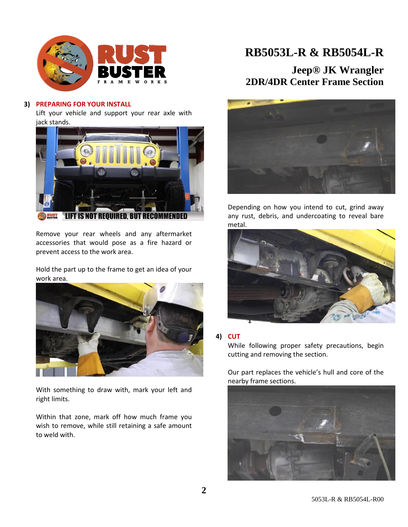

### **3) PREPARING FOR YOUR INSTALL**

Lift your vehicle and support your rear axle with jack stands.



Remove your rear wheels and any aftermarket accessories that would pose as a fire hazard or prevent access to the work area.

Hold the part up to the frame to get an idea of your work area.



With something to draw with, mark your left and right limits.

Within that zone, mark off how much frame you wish to remove, while still retaining a safe amount to weld with.

## **RB5053L-R & RB5054L-R**

### **Jeep® JK Wrangler 2DR/4DR Center Frame Section**



Depending on how you intend to cut, grind away any rust, debris, and undercoating to reveal bare metal.



### **4) CUT**

While following proper safety precautions, begin cutting and removing the section.

Our part replaces the vehicle's hull and core of the nearby frame sections.